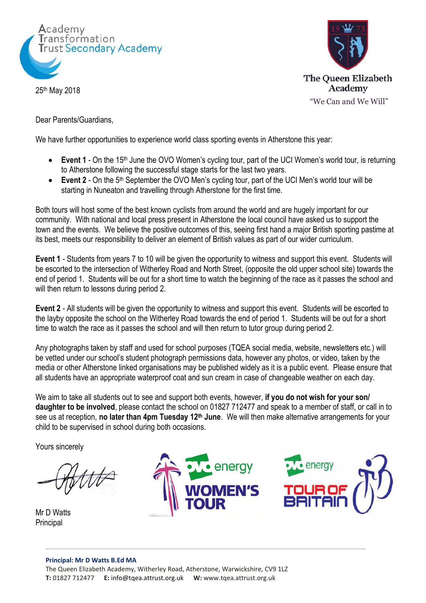

25th May 2018



Dear Parents/Guardians,

We have further opportunities to experience world class sporting events in Atherstone this year:

- Event 1 On the 15<sup>th</sup> June the OVO Women's cycling tour, part of the UCI Women's world tour, is returning to Atherstone following the successful stage starts for the last two years.
- Event 2 On the 5<sup>th</sup> September the OVO Men's cycling tour, part of the UCI Men's world tour will be starting in Nuneaton and travelling through Atherstone for the first time.

Both tours will host some of the best known cyclists from around the world and are hugely important for our community. With national and local press present in Atherstone the local council have asked us to support the town and the events. We believe the positive outcomes of this, seeing first hand a major British sporting pastime at its best, meets our responsibility to deliver an element of British values as part of our wider curriculum.

**Event 1** - Students from years 7 to 10 will be given the opportunity to witness and support this event. Students will be escorted to the intersection of Witherley Road and North Street, (opposite the old upper school site) towards the end of period 1. Students will be out for a short time to watch the beginning of the race as it passes the school and will then return to lessons during period 2.

**Event 2** - All students will be given the opportunity to witness and support this event. Students will be escorted to the layby opposite the school on the Witherley Road towards the end of period 1. Students will be out for a short time to watch the race as it passes the school and will then return to tutor group during period 2.

Any photographs taken by staff and used for school purposes (TQEA social media, website, newsletters etc.) will be vetted under our school's student photograph permissions data, however any photos, or video, taken by the media or other Atherstone linked organisations may be published widely as it is a public event. Please ensure that all students have an appropriate waterproof coat and sun cream in case of changeable weather on each day.

We aim to take all students out to see and support both events, however, **if you do not wish for your son/ daughter to be involved**, please contact the school on 01827 712477 and speak to a member of staff, or call in to see us at reception, **no later than 4pm Tuesday 12th June**. We will then make alternative arrangements for your child to be supervised in school during both occasions.

Yours sincerely

Mr D Watts Principal